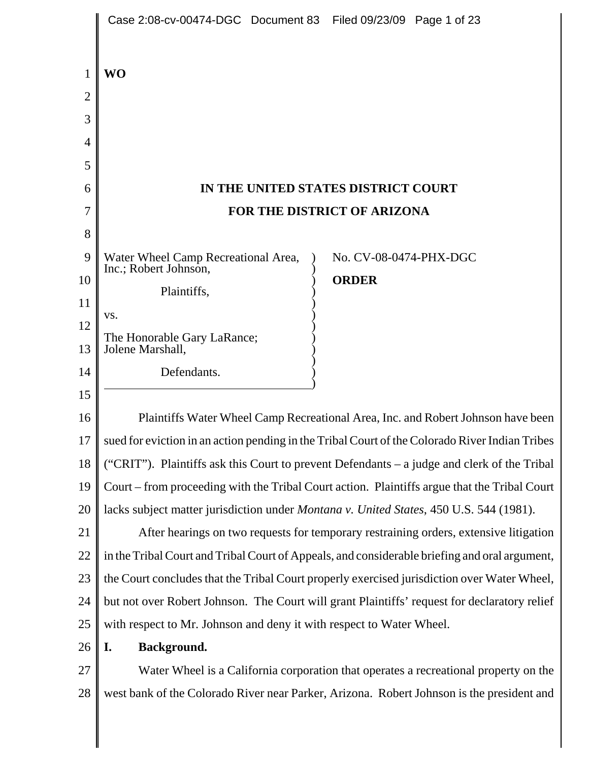|                | Case 2:08-cv-00474-DGC Document 83 Filed 09/23/09 Page 1 of 23                                 |
|----------------|------------------------------------------------------------------------------------------------|
| 1              | WO                                                                                             |
| 2              |                                                                                                |
| 3              |                                                                                                |
| $\overline{4}$ |                                                                                                |
| 5              |                                                                                                |
| 6              | IN THE UNITED STATES DISTRICT COURT                                                            |
| 7              | FOR THE DISTRICT OF ARIZONA                                                                    |
| 8              |                                                                                                |
| 9              | Water Wheel Camp Recreational Area,<br>No. CV-08-0474-PHX-DGC                                  |
| 10             | Inc.; Robert Johnson,<br><b>ORDER</b>                                                          |
| 11             | Plaintiffs,                                                                                    |
| 12             | VS.                                                                                            |
| 13             | The Honorable Gary LaRance;<br>Jolene Marshall,                                                |
| 14             | Defendants.                                                                                    |
| 15             |                                                                                                |
| 16             | Plaintiffs Water Wheel Camp Recreational Area, Inc. and Robert Johnson have been               |
| 17             | sued for eviction in an action pending in the Tribal Court of the Colorado River Indian Tribes |
| 18             | ("CRIT"). Plaintiffs ask this Court to prevent Defendants - a judge and clerk of the Tribal    |
| 19             | Court – from proceeding with the Tribal Court action. Plaintiffs argue that the Tribal Court   |
| 20             | lacks subject matter jurisdiction under <i>Montana v. United States</i> , 450 U.S. 544 (1981). |
| 21             | After hearings on two requests for temporary restraining orders, extensive litigation          |
| 22             | in the Tribal Court and Tribal Court of Appeals, and considerable briefing and oral argument,  |
| 23             | the Court concludes that the Tribal Court properly exercised jurisdiction over Water Wheel,    |
| 24             | but not over Robert Johnson. The Court will grant Plaintiffs' request for declaratory relief   |
| 25             | with respect to Mr. Johnson and deny it with respect to Water Wheel.                           |
| 26             | Background.<br>I.                                                                              |
| 27             | Water Wheel is a California corporation that operates a recreational property on the           |
| 28             | west bank of the Colorado River near Parker, Arizona. Robert Johnson is the president and      |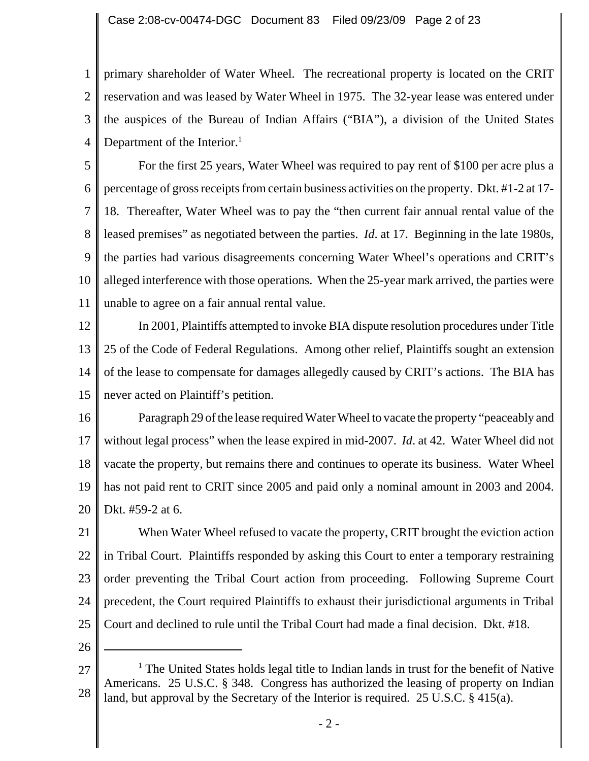1 2 3 4 primary shareholder of Water Wheel. The recreational property is located on the CRIT reservation and was leased by Water Wheel in 1975. The 32-year lease was entered under the auspices of the Bureau of Indian Affairs ("BIA"), a division of the United States Department of the Interior. $<sup>1</sup>$ </sup>

5 6 7 8 9 10 11 For the first 25 years, Water Wheel was required to pay rent of \$100 per acre plus a percentage of gross receipts from certain business activities on the property. Dkt. #1-2 at 17- 18. Thereafter, Water Wheel was to pay the "then current fair annual rental value of the leased premises" as negotiated between the parties. *Id*. at 17. Beginning in the late 1980s, the parties had various disagreements concerning Water Wheel's operations and CRIT's alleged interference with those operations. When the 25-year mark arrived, the parties were unable to agree on a fair annual rental value.

12 13 14 15 In 2001, Plaintiffs attempted to invoke BIA dispute resolution procedures under Title 25 of the Code of Federal Regulations. Among other relief, Plaintiffs sought an extension of the lease to compensate for damages allegedly caused by CRIT's actions. The BIA has never acted on Plaintiff's petition.

16 17 18 19 20 Paragraph 29 of the lease required Water Wheel to vacate the property "peaceably and without legal process" when the lease expired in mid-2007. *Id*. at 42. Water Wheel did not vacate the property, but remains there and continues to operate its business. Water Wheel has not paid rent to CRIT since 2005 and paid only a nominal amount in 2003 and 2004. Dkt. #59-2 at 6.

21 22 23 24 25 When Water Wheel refused to vacate the property, CRIT brought the eviction action in Tribal Court. Plaintiffs responded by asking this Court to enter a temporary restraining order preventing the Tribal Court action from proceeding. Following Supreme Court precedent, the Court required Plaintiffs to exhaust their jurisdictional arguments in Tribal Court and declined to rule until the Tribal Court had made a final decision. Dkt. #18.

<sup>27</sup> 28 <sup>1</sup> The United States holds legal title to Indian lands in trust for the benefit of Native Americans. 25 U.S.C. § 348. Congress has authorized the leasing of property on Indian land, but approval by the Secretary of the Interior is required. 25 U.S.C. § 415(a).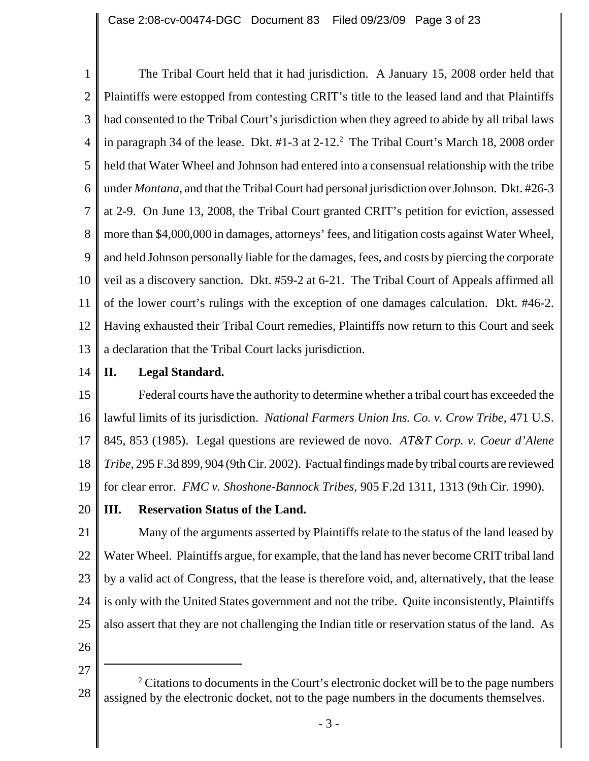1 2 3 4 5 6 7 8 9 10 11 12 13 The Tribal Court held that it had jurisdiction. A January 15, 2008 order held that Plaintiffs were estopped from contesting CRIT's title to the leased land and that Plaintiffs had consented to the Tribal Court's jurisdiction when they agreed to abide by all tribal laws in paragraph 34 of the lease. Dkt.  $#1-3$  at  $2-12.2$  The Tribal Court's March 18, 2008 order held that Water Wheel and Johnson had entered into a consensual relationship with the tribe under *Montana*, and that the Tribal Court had personal jurisdiction over Johnson. Dkt. #26-3 at 2-9. On June 13, 2008, the Tribal Court granted CRIT's petition for eviction, assessed more than \$4,000,000 in damages, attorneys' fees, and litigation costs against Water Wheel, and held Johnson personally liable for the damages, fees, and costs by piercing the corporate veil as a discovery sanction. Dkt. #59-2 at 6-21. The Tribal Court of Appeals affirmed all of the lower court's rulings with the exception of one damages calculation. Dkt. #46-2. Having exhausted their Tribal Court remedies, Plaintiffs now return to this Court and seek a declaration that the Tribal Court lacks jurisdiction.

#### 14 **II. Legal Standard.**

15 16 17 18 19 Federal courts have the authority to determine whether a tribal court has exceeded the lawful limits of its jurisdiction. *National Farmers Union Ins. Co. v. Crow Tribe*, 471 U.S. 845, 853 (1985). Legal questions are reviewed de novo. *AT&T Corp. v. Coeur d'Alene Tribe*, 295 F.3d 899, 904 (9th Cir. 2002). Factual findings made by tribal courts are reviewed for clear error. *FMC v. Shoshone-Bannock Tribes*, 905 F.2d 1311, 1313 (9th Cir. 1990).

#### 20 **III. Reservation Status of the Land.**

21 22 23 24 25 Many of the arguments asserted by Plaintiffs relate to the status of the land leased by Water Wheel. Plaintiffs argue, for example, that the land has never become CRIT tribal land by a valid act of Congress, that the lease is therefore void, and, alternatively, that the lease is only with the United States government and not the tribe. Quite inconsistently, Plaintiffs also assert that they are not challenging the Indian title or reservation status of the land. As

26

<sup>28</sup>  $2^2$  Citations to documents in the Court's electronic docket will be to the page numbers assigned by the electronic docket, not to the page numbers in the documents themselves.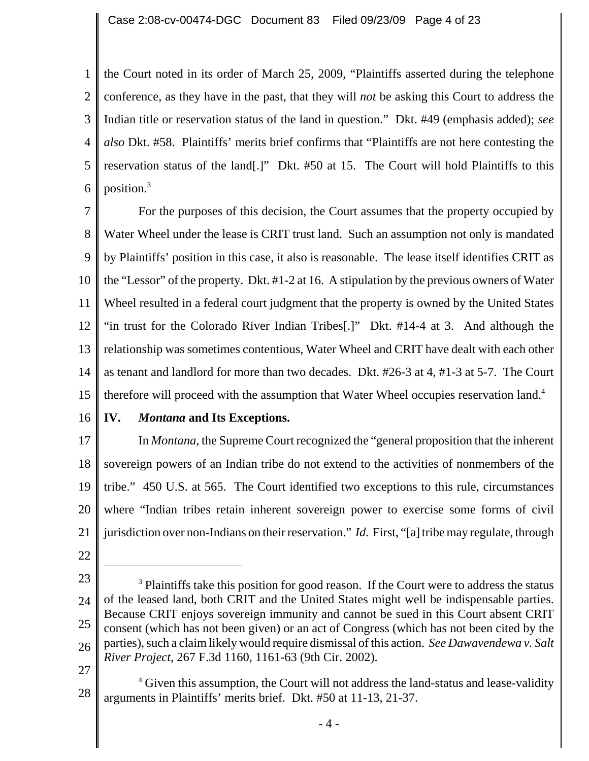1 2 3 4 5 6 the Court noted in its order of March 25, 2009, "Plaintiffs asserted during the telephone conference, as they have in the past, that they will *not* be asking this Court to address the Indian title or reservation status of the land in question." Dkt. #49 (emphasis added); *see also* Dkt. #58. Plaintiffs' merits brief confirms that "Plaintiffs are not here contesting the reservation status of the land[.]" Dkt. #50 at 15. The Court will hold Plaintiffs to this position.3

7 8 9 10 11 12 13 14 15 For the purposes of this decision, the Court assumes that the property occupied by Water Wheel under the lease is CRIT trust land. Such an assumption not only is mandated by Plaintiffs' position in this case, it also is reasonable. The lease itself identifies CRIT as the "Lessor" of the property. Dkt. #1-2 at 16. A stipulation by the previous owners of Water Wheel resulted in a federal court judgment that the property is owned by the United States "in trust for the Colorado River Indian Tribes[.]" Dkt. #14-4 at 3. And although the relationship was sometimes contentious, Water Wheel and CRIT have dealt with each other as tenant and landlord for more than two decades. Dkt. #26-3 at 4, #1-3 at 5-7. The Court therefore will proceed with the assumption that Water Wheel occupies reservation land.<sup>4</sup>

16

#### **IV.** *Montana* **and Its Exceptions.**

17 18 19 20 21 In *Montana*, the Supreme Court recognized the "general proposition that the inherent sovereign powers of an Indian tribe do not extend to the activities of nonmembers of the tribe." 450 U.S. at 565. The Court identified two exceptions to this rule, circumstances where "Indian tribes retain inherent sovereign power to exercise some forms of civil jurisdiction over non-Indians on their reservation." *Id*. First, "[a] tribe may regulate, through

22

<sup>23</sup> 24 25 26 <sup>3</sup> Plaintiffs take this position for good reason. If the Court were to address the status of the leased land, both CRIT and the United States might well be indispensable parties. Because CRIT enjoys sovereign immunity and cannot be sued in this Court absent CRIT consent (which has not been given) or an act of Congress (which has not been cited by the parties), such a claim likely would require dismissal of this action. *See Dawavendewa v. Salt River Project*, 267 F.3d 1160, 1161-63 (9th Cir. 2002).

<sup>28</sup> <sup>4</sup> Given this assumption, the Court will not address the land-status and lease-validity arguments in Plaintiffs' merits brief. Dkt. #50 at 11-13, 21-37.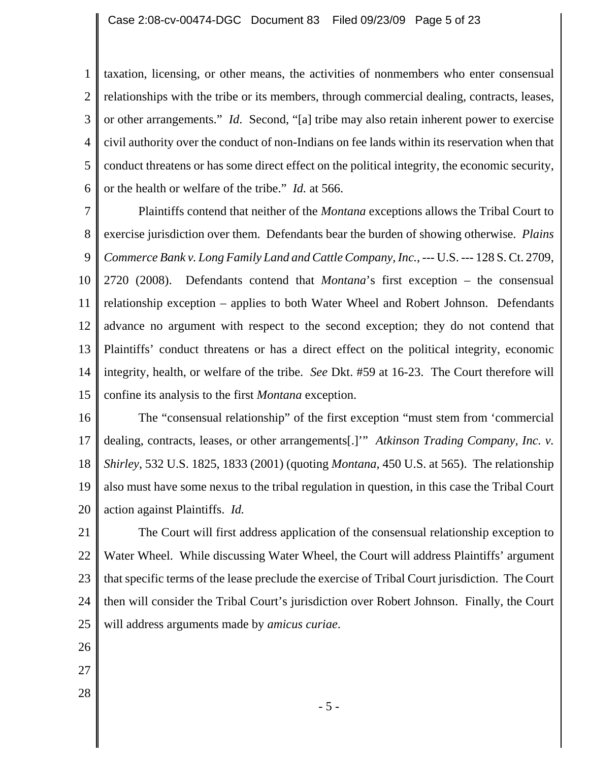1 2 3 4 5 6 taxation, licensing, or other means, the activities of nonmembers who enter consensual relationships with the tribe or its members, through commercial dealing, contracts, leases, or other arrangements." *Id*. Second, "[a] tribe may also retain inherent power to exercise civil authority over the conduct of non-Indians on fee lands within its reservation when that conduct threatens or has some direct effect on the political integrity, the economic security, or the health or welfare of the tribe." *Id.* at 566.

7 8 9 10 11 12 13 14 15 Plaintiffs contend that neither of the *Montana* exceptions allows the Tribal Court to exercise jurisdiction over them. Defendants bear the burden of showing otherwise. *Plains Commerce Bank v. Long Family Land and Cattle Company, Inc.*, --- U.S. --- 128 S. Ct. 2709, 2720 (2008). Defendants contend that *Montana*'s first exception – the consensual relationship exception – applies to both Water Wheel and Robert Johnson. Defendants advance no argument with respect to the second exception; they do not contend that Plaintiffs' conduct threatens or has a direct effect on the political integrity, economic integrity, health, or welfare of the tribe. *See* Dkt. #59 at 16-23. The Court therefore will confine its analysis to the first *Montana* exception.

16 17 18 19 20 The "consensual relationship" of the first exception "must stem from 'commercial dealing, contracts, leases, or other arrangements[.]'" *Atkinson Trading Company, Inc. v. Shirley*, 532 U.S. 1825, 1833 (2001) (quoting *Montana*, 450 U.S. at 565). The relationship also must have some nexus to the tribal regulation in question, in this case the Tribal Court action against Plaintiffs. *Id.*

21 22 23 24 25 The Court will first address application of the consensual relationship exception to Water Wheel. While discussing Water Wheel, the Court will address Plaintiffs' argument that specific terms of the lease preclude the exercise of Tribal Court jurisdiction. The Court then will consider the Tribal Court's jurisdiction over Robert Johnson. Finally, the Court will address arguments made by *amicus curiae*.

- 26
- 27
- 28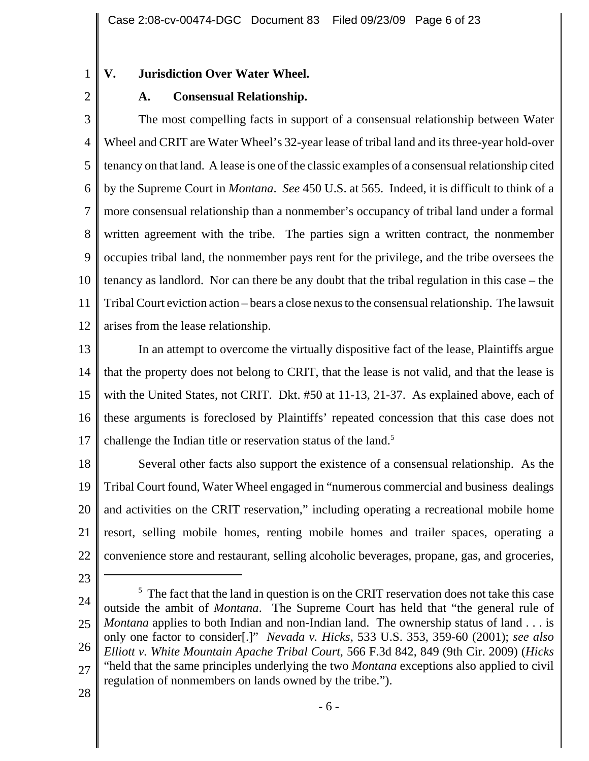#### 1 **V. Jurisdiction Over Water Wheel.**

2

#### **A. Consensual Relationship.**

3 4 5 6 7 8 9 10 11 12 The most compelling facts in support of a consensual relationship between Water Wheel and CRIT are Water Wheel's 32-year lease of tribal land and its three-year hold-over tenancy on that land. A lease is one of the classic examples of a consensual relationship cited by the Supreme Court in *Montana*. *See* 450 U.S. at 565. Indeed, it is difficult to think of a more consensual relationship than a nonmember's occupancy of tribal land under a formal written agreement with the tribe. The parties sign a written contract, the nonmember occupies tribal land, the nonmember pays rent for the privilege, and the tribe oversees the tenancy as landlord. Nor can there be any doubt that the tribal regulation in this case – the Tribal Court eviction action – bears a close nexus to the consensual relationship. The lawsuit arises from the lease relationship.

13 14 15 16 17 In an attempt to overcome the virtually dispositive fact of the lease, Plaintiffs argue that the property does not belong to CRIT, that the lease is not valid, and that the lease is with the United States, not CRIT. Dkt. #50 at 11-13, 21-37. As explained above, each of these arguments is foreclosed by Plaintiffs' repeated concession that this case does not challenge the Indian title or reservation status of the land.<sup>5</sup>

18 19 20 21 22 Several other facts also support the existence of a consensual relationship. As the Tribal Court found, Water Wheel engaged in "numerous commercial and business dealings and activities on the CRIT reservation," including operating a recreational mobile home resort, selling mobile homes, renting mobile homes and trailer spaces, operating a convenience store and restaurant, selling alcoholic beverages, propane, gas, and groceries,

23

<sup>24</sup> 25 26 27  $<sup>5</sup>$  The fact that the land in question is on the CRIT reservation does not take this case</sup> outside the ambit of *Montana*. The Supreme Court has held that "the general rule of *Montana* applies to both Indian and non-Indian land. The ownership status of land . . . is only one factor to consider[.]" *Nevada v. Hicks*, 533 U.S. 353, 359-60 (2001); *see also Elliott v. White Mountain Apache Tribal Court*, 566 F.3d 842, 849 (9th Cir. 2009) (*Hicks* "held that the same principles underlying the two *Montana* exceptions also applied to civil regulation of nonmembers on lands owned by the tribe.").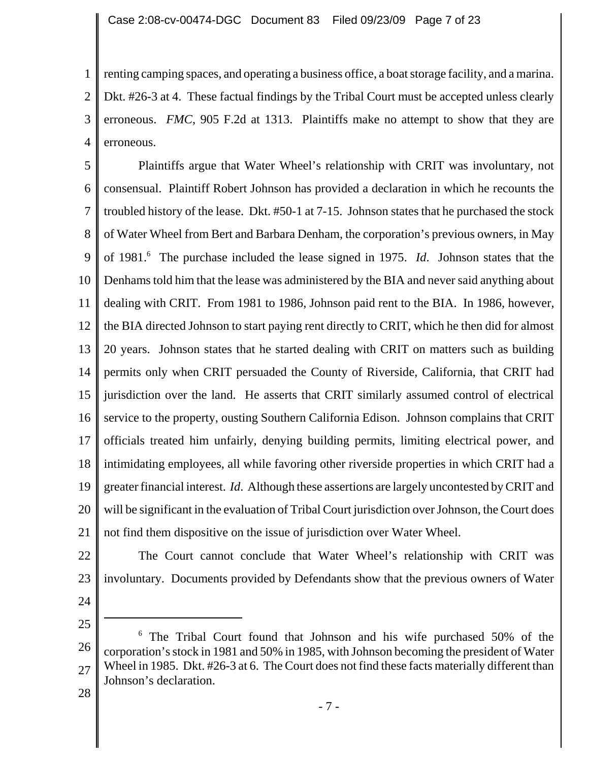1 2 3 4 renting camping spaces, and operating a business office, a boat storage facility, and a marina. Dkt. #26-3 at 4. These factual findings by the Tribal Court must be accepted unless clearly erroneous. *FMC*, 905 F.2d at 1313. Plaintiffs make no attempt to show that they are erroneous.

5 6 7 8 9 10 11 12 13 14 15 16 17 18 19 20 21 Plaintiffs argue that Water Wheel's relationship with CRIT was involuntary, not consensual. Plaintiff Robert Johnson has provided a declaration in which he recounts the troubled history of the lease. Dkt. #50-1 at 7-15. Johnson states that he purchased the stock of Water Wheel from Bert and Barbara Denham, the corporation's previous owners, in May of 1981.<sup>6</sup> The purchase included the lease signed in 1975. *Id*. Johnson states that the Denhams told him that the lease was administered by the BIA and never said anything about dealing with CRIT. From 1981 to 1986, Johnson paid rent to the BIA. In 1986, however, the BIA directed Johnson to start paying rent directly to CRIT, which he then did for almost 20 years. Johnson states that he started dealing with CRIT on matters such as building permits only when CRIT persuaded the County of Riverside, California, that CRIT had jurisdiction over the land. He asserts that CRIT similarly assumed control of electrical service to the property, ousting Southern California Edison. Johnson complains that CRIT officials treated him unfairly, denying building permits, limiting electrical power, and intimidating employees, all while favoring other riverside properties in which CRIT had a greater financial interest. *Id*. Although these assertions are largely uncontested by CRIT and will be significant in the evaluation of Tribal Court jurisdiction over Johnson, the Court does not find them dispositive on the issue of jurisdiction over Water Wheel.

- 22
- 23
- 24 25

28

The Court cannot conclude that Water Wheel's relationship with CRIT was

involuntary. Documents provided by Defendants show that the previous owners of Water

<sup>26</sup> 27 <sup>6</sup> The Tribal Court found that Johnson and his wife purchased 50% of the corporation's stock in 1981 and 50% in 1985, with Johnson becoming the president of Water Wheel in 1985. Dkt. #26-3 at 6. The Court does not find these facts materially different than Johnson's declaration.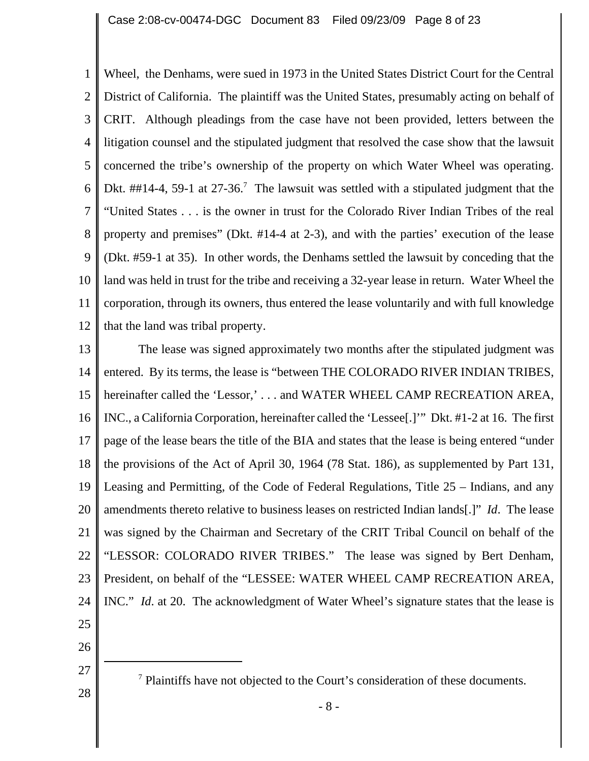1 2 3 4 5 6 7 8 9 10 11 12 Wheel, the Denhams, were sued in 1973 in the United States District Court for the Central District of California. The plaintiff was the United States, presumably acting on behalf of CRIT. Although pleadings from the case have not been provided, letters between the litigation counsel and the stipulated judgment that resolved the case show that the lawsuit concerned the tribe's ownership of the property on which Water Wheel was operating. Dkt.  $\#414-4$ , 59-1 at 27-36.<sup>7</sup> The lawsuit was settled with a stipulated judgment that the "United States . . . is the owner in trust for the Colorado River Indian Tribes of the real property and premises" (Dkt. #14-4 at 2-3), and with the parties' execution of the lease (Dkt. #59-1 at 35). In other words, the Denhams settled the lawsuit by conceding that the land was held in trust for the tribe and receiving a 32-year lease in return. Water Wheel the corporation, through its owners, thus entered the lease voluntarily and with full knowledge that the land was tribal property.

13 14 15 16 17 18 19 20 21 22 23 24 25 The lease was signed approximately two months after the stipulated judgment was entered. By its terms, the lease is "between THE COLORADO RIVER INDIAN TRIBES, hereinafter called the 'Lessor,' . . . and WATER WHEEL CAMP RECREATION AREA, INC., a California Corporation, hereinafter called the 'Lessee[.]'" Dkt. #1-2 at 16. The first page of the lease bears the title of the BIA and states that the lease is being entered "under the provisions of the Act of April 30, 1964 (78 Stat. 186), as supplemented by Part 131, Leasing and Permitting, of the Code of Federal Regulations, Title 25 – Indians, and any amendments thereto relative to business leases on restricted Indian lands[.]" *Id*. The lease was signed by the Chairman and Secretary of the CRIT Tribal Council on behalf of the "LESSOR: COLORADO RIVER TRIBES." The lease was signed by Bert Denham, President, on behalf of the "LESSEE: WATER WHEEL CAMP RECREATION AREA, INC." *Id*. at 20. The acknowledgment of Water Wheel's signature states that the lease is

- 26
- 27

28

 $<sup>7</sup>$  Plaintiffs have not objected to the Court's consideration of these documents.</sup>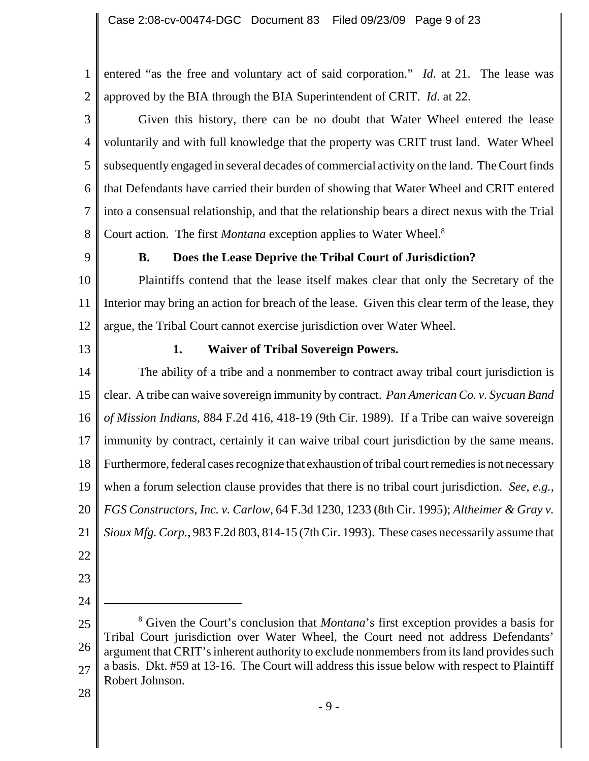1 2 entered "as the free and voluntary act of said corporation." *Id*. at 21. The lease was approved by the BIA through the BIA Superintendent of CRIT. *Id*. at 22.

3 4 5 6 7 8 Given this history, there can be no doubt that Water Wheel entered the lease voluntarily and with full knowledge that the property was CRIT trust land. Water Wheel subsequently engaged in several decades of commercial activity on the land. The Court finds that Defendants have carried their burden of showing that Water Wheel and CRIT entered into a consensual relationship, and that the relationship bears a direct nexus with the Trial Court action. The first *Montana* exception applies to Water Wheel.<sup>8</sup>

9

### **B. Does the Lease Deprive the Tribal Court of Jurisdiction?**

10 11 12 Plaintiffs contend that the lease itself makes clear that only the Secretary of the Interior may bring an action for breach of the lease. Given this clear term of the lease, they argue, the Tribal Court cannot exercise jurisdiction over Water Wheel.

13

### **1. Waiver of Tribal Sovereign Powers.**

14 15 16 17 18 19 20 21 The ability of a tribe and a nonmember to contract away tribal court jurisdiction is clear. A tribe can waive sovereign immunity by contract. *Pan American Co. v. Sycuan Band of Mission Indians*, 884 F.2d 416, 418-19 (9th Cir. 1989). If a Tribe can waive sovereign immunity by contract, certainly it can waive tribal court jurisdiction by the same means. Furthermore, federal cases recognize that exhaustion of tribal court remedies is not necessary when a forum selection clause provides that there is no tribal court jurisdiction. *See, e.g., FGS Constructors, Inc. v. Carlow*, 64 F.3d 1230, 1233 (8th Cir. 1995); *Altheimer & Gray v. Sioux Mfg. Corp.*, 983 F.2d 803, 814-15 (7th Cir. 1993). These cases necessarily assume that

- 22
- 23
- 24

<sup>25</sup> 26 27 <sup>8</sup> Given the Court's conclusion that *Montana*'s first exception provides a basis for Tribal Court jurisdiction over Water Wheel, the Court need not address Defendants' argument that CRIT's inherent authority to exclude nonmembers from its land provides such a basis. Dkt. #59 at 13-16. The Court will address this issue below with respect to Plaintiff Robert Johnson.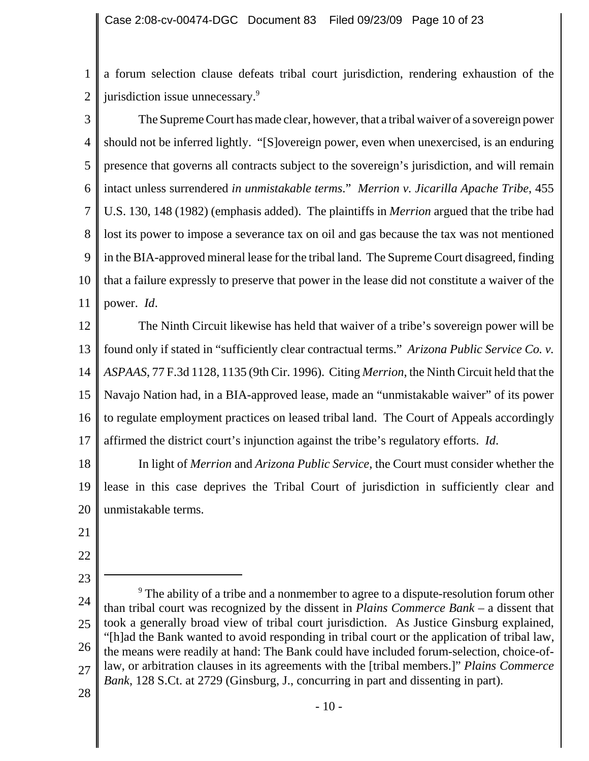1 2 a forum selection clause defeats tribal court jurisdiction, rendering exhaustion of the jurisdiction issue unnecessary.<sup>9</sup>

3 4 5 6 7 8 9 10 11 The Supreme Court has made clear, however, that a tribal waiver of a sovereign power should not be inferred lightly. "[S]overeign power, even when unexercised, is an enduring presence that governs all contracts subject to the sovereign's jurisdiction, and will remain intact unless surrendered *in unmistakable terms*." *Merrion v. Jicarilla Apache Tribe*, 455 U.S. 130, 148 (1982) (emphasis added). The plaintiffs in *Merrion* argued that the tribe had lost its power to impose a severance tax on oil and gas because the tax was not mentioned in the BIA-approved mineral lease for the tribal land. The Supreme Court disagreed, finding that a failure expressly to preserve that power in the lease did not constitute a waiver of the power. *Id*.

12 13 14 15 16 17 The Ninth Circuit likewise has held that waiver of a tribe's sovereign power will be found only if stated in "sufficiently clear contractual terms." *Arizona Public Service Co. v. ASPAAS*, 77 F.3d 1128, 1135 (9th Cir. 1996). Citing *Merrion*, the Ninth Circuit held that the Navajo Nation had, in a BIA-approved lease, made an "unmistakable waiver" of its power to regulate employment practices on leased tribal land. The Court of Appeals accordingly affirmed the district court's injunction against the tribe's regulatory efforts. *Id*.

18 19 20 In light of *Merrion* and *Arizona Public Service*, the Court must consider whether the lease in this case deprives the Tribal Court of jurisdiction in sufficiently clear and unmistakable terms.

- 21
- 22

- 24 25 26 27  $9$  The ability of a tribe and a nonmember to agree to a dispute-resolution forum other than tribal court was recognized by the dissent in *Plains Commerce Bank* – a dissent that took a generally broad view of tribal court jurisdiction. As Justice Ginsburg explained, "[h]ad the Bank wanted to avoid responding in tribal court or the application of tribal law, the means were readily at hand: The Bank could have included forum-selection, choice-oflaw, or arbitration clauses in its agreements with the [tribal members.]" *Plains Commerce Bank*, 128 S.Ct. at 2729 (Ginsburg, J., concurring in part and dissenting in part).
- 28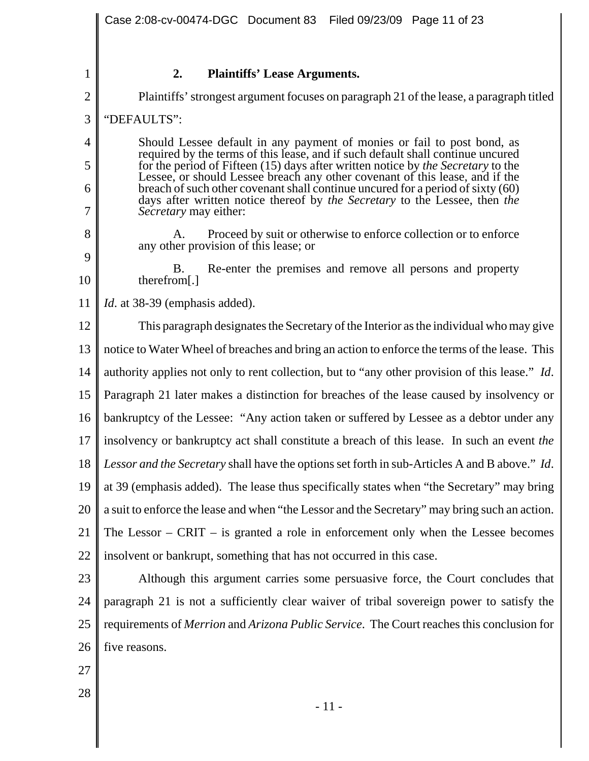|                | Case 2:08-cv-00474-DGC Document 83 Filed 09/23/09 Page 11 of 23                                                                                                  |
|----------------|------------------------------------------------------------------------------------------------------------------------------------------------------------------|
|                |                                                                                                                                                                  |
| 1              | 2.<br><b>Plaintiffs' Lease Arguments.</b>                                                                                                                        |
| $\overline{2}$ | Plaintiffs' strongest argument focuses on paragraph 21 of the lease, a paragraph titled                                                                          |
| 3              | "DEFAULTS":                                                                                                                                                      |
| 4              | Should Lessee default in any payment of monies or fail to post bond, as<br>required by the terms of this lease, and if such default shall continue uncured       |
| 5              | for the period of Fifteen (15) days after written notice by the Secretary to the<br>Lessee, or should Lessee breach any other covenant of this lease, and if the |
| 6              | breach of such other covenant shall continue uncured for a period of sixty (60)<br>days after written notice thereof by the Secretary to the Lessee, then the    |
| 7              | Secretary may either:                                                                                                                                            |
| 8              | Proceed by suit or otherwise to enforce collection or to enforce<br>A.<br>any other provision of this lease; or                                                  |
| 9<br>10        | Re-enter the premises and remove all persons and property<br>В.<br>therefrom[.]                                                                                  |
| 11             | <i>Id.</i> at 38-39 (emphasis added).                                                                                                                            |
| 12             | This paragraph designates the Secretary of the Interior as the individual who may give                                                                           |
| 13             | notice to Water Wheel of breaches and bring an action to enforce the terms of the lease. This                                                                    |
| 14             | authority applies not only to rent collection, but to "any other provision of this lease." Id.                                                                   |
| 15             | Paragraph 21 later makes a distinction for breaches of the lease caused by insolvency or                                                                         |
| 16             | bankruptcy of the Lessee: "Any action taken or suffered by Lessee as a debtor under any                                                                          |
| 17             | insolvency or bankruptcy act shall constitute a breach of this lease. In such an event the                                                                       |
| 18             | Lessor and the Secretary shall have the options set forth in sub-Articles A and B above." Id.                                                                    |
| 19             | at 39 (emphasis added). The lease thus specifically states when "the Secretary" may bring                                                                        |
| 20             | a suit to enforce the lease and when "the Lessor and the Secretary" may bring such an action.                                                                    |
| 21             | The Lessor $-$ CRIT $-$ is granted a role in enforcement only when the Lessee becomes                                                                            |
| 22             | insolvent or bankrupt, something that has not occurred in this case.                                                                                             |
| 23             | Although this argument carries some persuasive force, the Court concludes that                                                                                   |
| 24             | paragraph 21 is not a sufficiently clear waiver of tribal sovereign power to satisfy the                                                                         |
| 25             | requirements of Merrion and Arizona Public Service. The Court reaches this conclusion for                                                                        |
| 26             | five reasons.                                                                                                                                                    |
| 27             |                                                                                                                                                                  |
| 28             |                                                                                                                                                                  |
|                | $-11-$                                                                                                                                                           |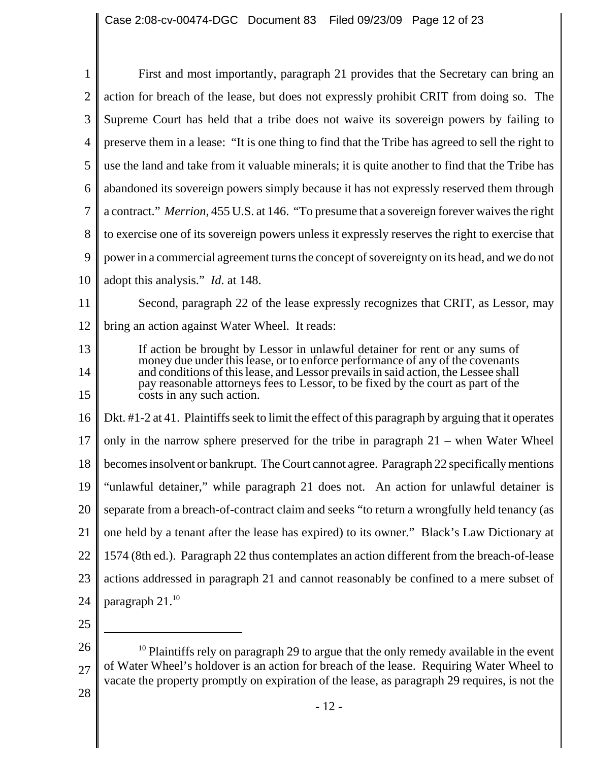| 1              | First and most importantly, paragraph 21 provides that the Secretary can bring an                                                                                                                                                                                                    |
|----------------|--------------------------------------------------------------------------------------------------------------------------------------------------------------------------------------------------------------------------------------------------------------------------------------|
| $\overline{2}$ | action for breach of the lease, but does not expressly prohibit CRIT from doing so. The                                                                                                                                                                                              |
| 3              | Supreme Court has held that a tribe does not waive its sovereign powers by failing to                                                                                                                                                                                                |
| 4              | preserve them in a lease: "It is one thing to find that the Tribe has agreed to sell the right to                                                                                                                                                                                    |
| 5              | use the land and take from it valuable minerals; it is quite another to find that the Tribe has                                                                                                                                                                                      |
| 6              | abandoned its sovereign powers simply because it has not expressly reserved them through                                                                                                                                                                                             |
| 7              | a contract." Merrion, 455 U.S. at 146. "To presume that a sovereign forever waives the right                                                                                                                                                                                         |
| 8              | to exercise one of its sovereign powers unless it expressly reserves the right to exercise that                                                                                                                                                                                      |
| 9              | power in a commercial agreement turns the concept of sovereignty on its head, and we do not                                                                                                                                                                                          |
| 10             | adopt this analysis." <i>Id.</i> at 148.                                                                                                                                                                                                                                             |
| 11             | Second, paragraph 22 of the lease expressly recognizes that CRIT, as Lessor, may                                                                                                                                                                                                     |
| 12             | bring an action against Water Wheel. It reads:                                                                                                                                                                                                                                       |
| 13             | If action be brought by Lessor in unlawful detainer for rent or any sums of                                                                                                                                                                                                          |
| 14<br>15       | money due under this lease, or to enforce performance of any of the covenants<br>and conditions of this lease, and Lessor prevails in said action, the Lessee shall<br>pay reasonable attorneys fees to Lessor, to be fixed by the court as part of the<br>costs in any such action. |
| 16             | Dkt. #1-2 at 41. Plaintiffs seek to limit the effect of this paragraph by arguing that it operates                                                                                                                                                                                   |
| 17             | only in the narrow sphere preserved for the tribe in paragraph $21$ – when Water Wheel                                                                                                                                                                                               |
| 18             | becomes insolvent or bankrupt. The Court cannot agree. Paragraph 22 specifically mentions                                                                                                                                                                                            |
| 19             | "unlawful detainer," while paragraph 21 does not. An action for unlawful detainer is                                                                                                                                                                                                 |
| 20             | separate from a breach-of-contract claim and seeks "to return a wrongfully held tenancy (as                                                                                                                                                                                          |
| 21             | one held by a tenant after the lease has expired) to its owner." Black's Law Dictionary at                                                                                                                                                                                           |
| 22             | 1574 (8th ed.). Paragraph 22 thus contemplates an action different from the breach-of-lease                                                                                                                                                                                          |
| 23             | actions addressed in paragraph 21 and cannot reasonably be confined to a mere subset of                                                                                                                                                                                              |
| 24             | paragraph 21. <sup>10</sup>                                                                                                                                                                                                                                                          |
| 25             |                                                                                                                                                                                                                                                                                      |

<sup>26</sup> 27 <sup>10</sup> Plaintiffs rely on paragraph 29 to argue that the only remedy available in the event of Water Wheel's holdover is an action for breach of the lease. Requiring Water Wheel to vacate the property promptly on expiration of the lease, as paragraph 29 requires, is not the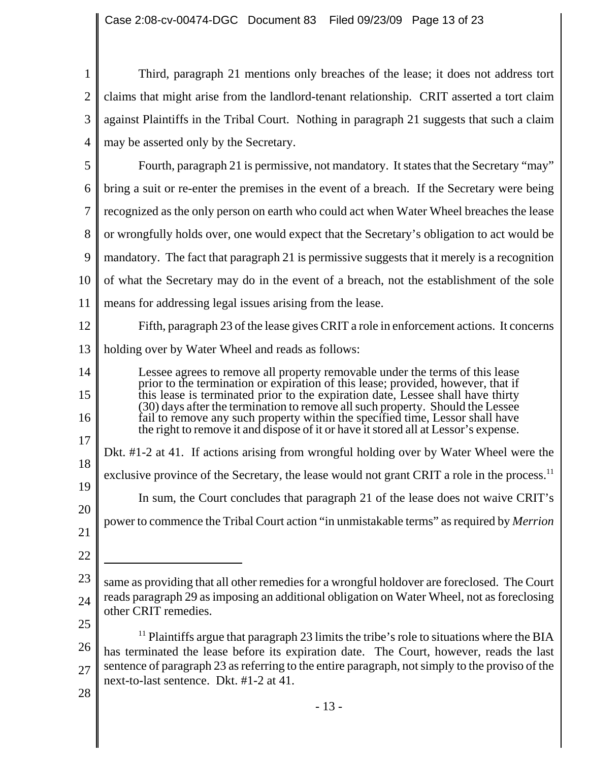1 2 3 4 Third, paragraph 21 mentions only breaches of the lease; it does not address tort claims that might arise from the landlord-tenant relationship. CRIT asserted a tort claim against Plaintiffs in the Tribal Court. Nothing in paragraph 21 suggests that such a claim may be asserted only by the Secretary.

5 6 7 8 9 10 11 12 13 14 15 16 17 18 19 20 21 22 23 24 25 26 27 same as providing that all other remedies for a wrongful holdover are foreclosed. The Court reads paragraph 29 as imposing an additional obligation on Water Wheel, not as foreclosing other CRIT remedies.  $<sup>11</sup>$  Plaintiffs argue that paragraph 23 limits the tribe's role to situations where the BIA</sup> has terminated the lease before its expiration date. The Court, however, reads the last sentence of paragraph 23 as referring to the entire paragraph, not simply to the proviso of the Fourth, paragraph 21 is permissive, not mandatory. It states that the Secretary "may" bring a suit or re-enter the premises in the event of a breach. If the Secretary were being recognized as the only person on earth who could act when Water Wheel breaches the lease or wrongfully holds over, one would expect that the Secretary's obligation to act would be mandatory. The fact that paragraph 21 is permissive suggests that it merely is a recognition of what the Secretary may do in the event of a breach, not the establishment of the sole means for addressing legal issues arising from the lease. Fifth, paragraph 23 of the lease gives CRIT a role in enforcement actions. It concerns holding over by Water Wheel and reads as follows: Lessee agrees to remove all property removable under the terms of this lease prior to the termination or expiration of this lease; provided, however, that if this lease is terminated prior to the expiration date, Lessee shall have thirty (30) days after the termination to remove all such property. Should the Lessee fail to remove any such property within the specified time, Lessor shall have the right to remove it and dispose of it or have it stored all at Lessor's expense. Dkt. #1-2 at 41. If actions arising from wrongful holding over by Water Wheel were the exclusive province of the Secretary, the lease would not grant CRIT a role in the process.<sup>11</sup> In sum, the Court concludes that paragraph 21 of the lease does not waive CRIT's power to commence the Tribal Court action "in unmistakable terms" as required by *Merrion*

next-to-last sentence. Dkt. #1-2 at 41.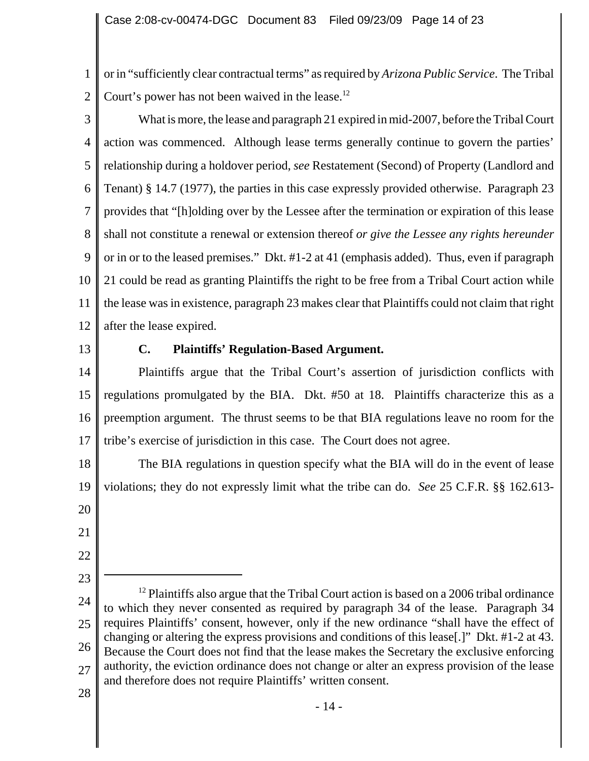1 2 or in "sufficiently clear contractual terms" as required by *Arizona Public Service*. The Tribal Court's power has not been waived in the lease.<sup>12</sup>

- 3 4 5 6 7 8 9 10 11 12 What is more, the lease and paragraph 21 expired in mid-2007, before the Tribal Court action was commenced. Although lease terms generally continue to govern the parties' relationship during a holdover period, *see* Restatement (Second) of Property (Landlord and Tenant) § 14.7 (1977), the parties in this case expressly provided otherwise. Paragraph 23 provides that "[h]olding over by the Lessee after the termination or expiration of this lease shall not constitute a renewal or extension thereof *or give the Lessee any rights hereunder* or in or to the leased premises." Dkt. #1-2 at 41 (emphasis added). Thus, even if paragraph 21 could be read as granting Plaintiffs the right to be free from a Tribal Court action while the lease was in existence, paragraph 23 makes clear that Plaintiffs could not claim that right after the lease expired.
- 13

## **C. Plaintiffs' Regulation-Based Argument.**

14 15 16 17 Plaintiffs argue that the Tribal Court's assertion of jurisdiction conflicts with regulations promulgated by the BIA. Dkt. #50 at 18. Plaintiffs characterize this as a preemption argument. The thrust seems to be that BIA regulations leave no room for the tribe's exercise of jurisdiction in this case. The Court does not agree.

18 19 20 The BIA regulations in question specify what the BIA will do in the event of lease violations; they do not expressly limit what the tribe can do. *See* 25 C.F.R. §§ 162.613-

21

23

<sup>22</sup>

<sup>24</sup> 25 26 27  $12$  Plaintiffs also argue that the Tribal Court action is based on a 2006 tribal ordinance to which they never consented as required by paragraph 34 of the lease. Paragraph 34 requires Plaintiffs' consent, however, only if the new ordinance "shall have the effect of changing or altering the express provisions and conditions of this lease[.]" Dkt. #1-2 at 43. Because the Court does not find that the lease makes the Secretary the exclusive enforcing authority, the eviction ordinance does not change or alter an express provision of the lease and therefore does not require Plaintiffs' written consent.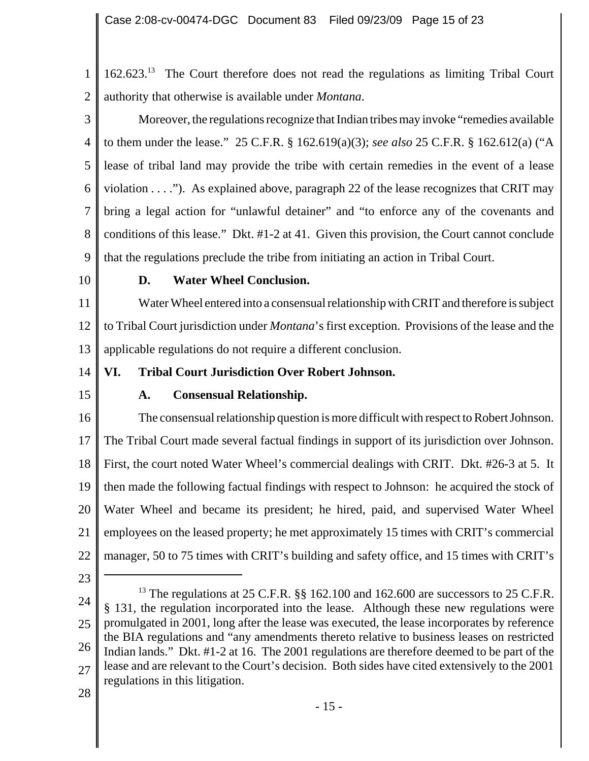1 2 162.623.<sup>13</sup> The Court therefore does not read the regulations as limiting Tribal Court authority that otherwise is available under *Montana*.

3 4 5 6 7 8 9 Moreover, the regulations recognize that Indian tribes may invoke "remedies available to them under the lease." 25 C.F.R. § 162.619(a)(3); *see also* 25 C.F.R. § 162.612(a) ("A lease of tribal land may provide the tribe with certain remedies in the event of a lease violation . . . ."). As explained above, paragraph 22 of the lease recognizes that CRIT may bring a legal action for "unlawful detainer" and "to enforce any of the covenants and conditions of this lease." Dkt. #1-2 at 41. Given this provision, the Court cannot conclude that the regulations preclude the tribe from initiating an action in Tribal Court.

10

### **D. Water Wheel Conclusion.**

11 12 13 Water Wheel entered into a consensual relationship with CRIT and therefore is subject to Tribal Court jurisdiction under *Montana*'s first exception. Provisions of the lease and the applicable regulations do not require a different conclusion.

- 14
- 15

# **A. Consensual Relationship.**

**VI. Tribal Court Jurisdiction Over Robert Johnson.**

16 17 18 19 20 21 22 The consensual relationship question is more difficult with respect to Robert Johnson. The Tribal Court made several factual findings in support of its jurisdiction over Johnson. First, the court noted Water Wheel's commercial dealings with CRIT. Dkt. #26-3 at 5. It then made the following factual findings with respect to Johnson: he acquired the stock of Water Wheel and became its president; he hired, paid, and supervised Water Wheel employees on the leased property; he met approximately 15 times with CRIT's commercial manager, 50 to 75 times with CRIT's building and safety office, and 15 times with CRIT's

23

<sup>24</sup> 25 26 27 <sup>13</sup> The regulations at 25 C.F.R.  $\S$  162.100 and 162.600 are successors to 25 C.F.R. § 131, the regulation incorporated into the lease. Although these new regulations were promulgated in 2001, long after the lease was executed, the lease incorporates by reference the BIA regulations and "any amendments thereto relative to business leases on restricted Indian lands." Dkt. #1-2 at 16. The 2001 regulations are therefore deemed to be part of the lease and are relevant to the Court's decision. Both sides have cited extensively to the 2001 regulations in this litigation.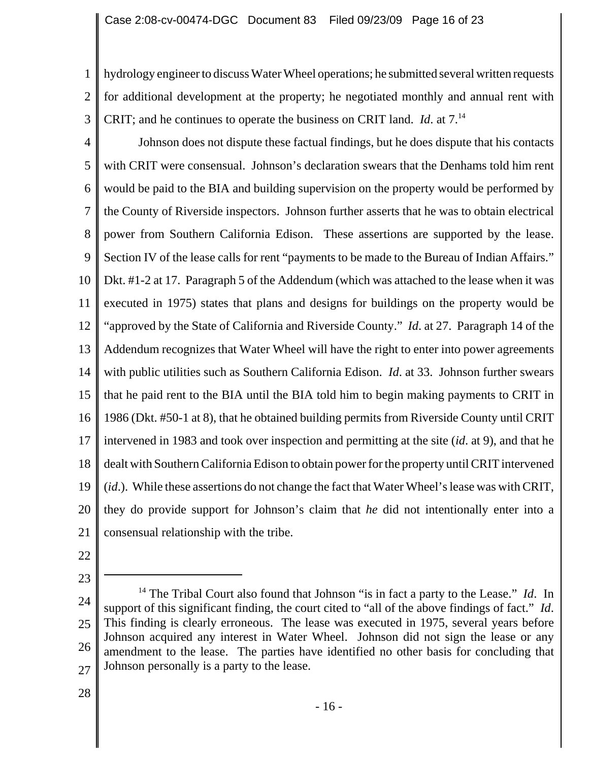1 2 3 hydrology engineer to discuss Water Wheel operations; he submitted several written requests for additional development at the property; he negotiated monthly and annual rent with CRIT; and he continues to operate the business on CRIT land. *Id*. at 7.14

4 5 6 7 8 9 10 11 12 13 14 15 16 17 18 19 20 21 Johnson does not dispute these factual findings, but he does dispute that his contacts with CRIT were consensual. Johnson's declaration swears that the Denhams told him rent would be paid to the BIA and building supervision on the property would be performed by the County of Riverside inspectors. Johnson further asserts that he was to obtain electrical power from Southern California Edison. These assertions are supported by the lease. Section IV of the lease calls for rent "payments to be made to the Bureau of Indian Affairs." Dkt. #1-2 at 17. Paragraph 5 of the Addendum (which was attached to the lease when it was executed in 1975) states that plans and designs for buildings on the property would be "approved by the State of California and Riverside County." *Id*. at 27. Paragraph 14 of the Addendum recognizes that Water Wheel will have the right to enter into power agreements with public utilities such as Southern California Edison. *Id*. at 33. Johnson further swears that he paid rent to the BIA until the BIA told him to begin making payments to CRIT in 1986 (Dkt. #50-1 at 8), that he obtained building permits from Riverside County until CRIT intervened in 1983 and took over inspection and permitting at the site (*id*. at 9), and that he dealt with Southern California Edison to obtain power for the property until CRIT intervened (*id*.). While these assertions do not change the fact that Water Wheel's lease was with CRIT, they do provide support for Johnson's claim that *he* did not intentionally enter into a consensual relationship with the tribe.

- 22
- 23

<sup>24</sup> 25 26 27 <sup>14</sup> The Tribal Court also found that Johnson "is in fact a party to the Lease." *Id*. In support of this significant finding, the court cited to "all of the above findings of fact." *Id*. This finding is clearly erroneous. The lease was executed in 1975, several years before Johnson acquired any interest in Water Wheel. Johnson did not sign the lease or any amendment to the lease. The parties have identified no other basis for concluding that Johnson personally is a party to the lease.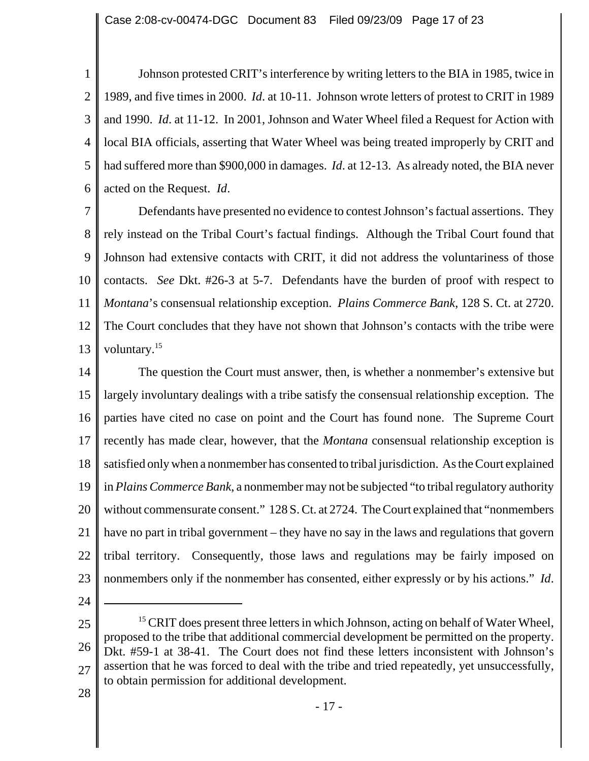1 2 3 4 5 6 Johnson protested CRIT's interference by writing letters to the BIA in 1985, twice in 1989, and five times in 2000. *Id*. at 10-11. Johnson wrote letters of protest to CRIT in 1989 and 1990. *Id*. at 11-12. In 2001, Johnson and Water Wheel filed a Request for Action with local BIA officials, asserting that Water Wheel was being treated improperly by CRIT and had suffered more than \$900,000 in damages. *Id*. at 12-13. As already noted, the BIA never acted on the Request. *Id*.

7 8 9 10 11 12 13 Defendants have presented no evidence to contest Johnson's factual assertions. They rely instead on the Tribal Court's factual findings. Although the Tribal Court found that Johnson had extensive contacts with CRIT, it did not address the voluntariness of those contacts. *See* Dkt. #26-3 at 5-7. Defendants have the burden of proof with respect to *Montana*'s consensual relationship exception. *Plains Commerce Bank*, 128 S. Ct. at 2720. The Court concludes that they have not shown that Johnson's contacts with the tribe were voluntary.15

14 15 16 17 18 19 20 21 22 23 The question the Court must answer, then, is whether a nonmember's extensive but largely involuntary dealings with a tribe satisfy the consensual relationship exception. The parties have cited no case on point and the Court has found none. The Supreme Court recently has made clear, however, that the *Montana* consensual relationship exception is satisfied only when a nonmember has consented to tribal jurisdiction. As the Court explained in *Plains Commerce Bank*, a nonmember may not be subjected "to tribal regulatory authority without commensurate consent." 128 S. Ct. at 2724. The Court explained that "nonmembers" have no part in tribal government – they have no say in the laws and regulations that govern tribal territory. Consequently, those laws and regulations may be fairly imposed on nonmembers only if the nonmember has consented, either expressly or by his actions." *Id*.

<sup>25</sup> 26 27 <sup>15</sup> CRIT does present three letters in which Johnson, acting on behalf of Water Wheel, proposed to the tribe that additional commercial development be permitted on the property. Dkt. #59-1 at 38-41. The Court does not find these letters inconsistent with Johnson's assertion that he was forced to deal with the tribe and tried repeatedly, yet unsuccessfully, to obtain permission for additional development.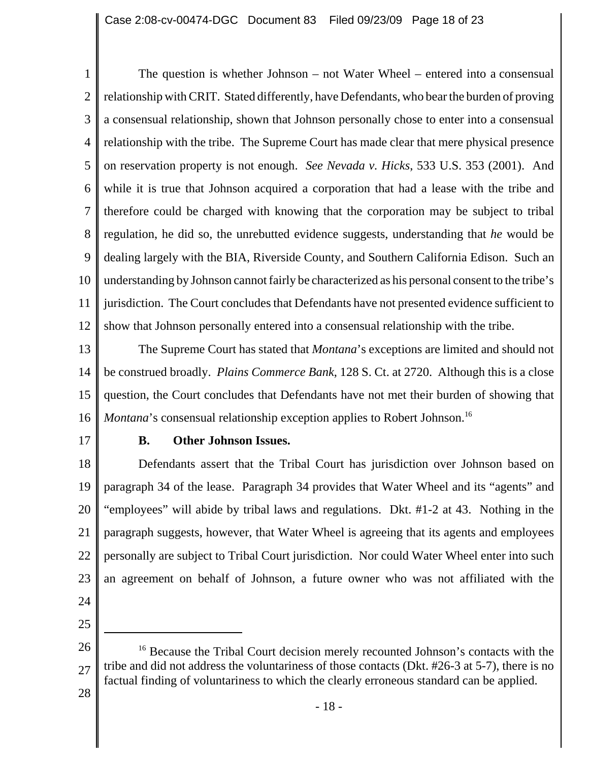1 2 3 4 5 6 7 8 9 10 11 12 The question is whether Johnson – not Water Wheel – entered into a consensual relationship with CRIT. Stated differently, have Defendants, who bear the burden of proving a consensual relationship, shown that Johnson personally chose to enter into a consensual relationship with the tribe. The Supreme Court has made clear that mere physical presence on reservation property is not enough. *See Nevada v. Hicks*, 533 U.S. 353 (2001). And while it is true that Johnson acquired a corporation that had a lease with the tribe and therefore could be charged with knowing that the corporation may be subject to tribal regulation, he did so, the unrebutted evidence suggests, understanding that *he* would be dealing largely with the BIA, Riverside County, and Southern California Edison. Such an understanding by Johnson cannot fairly be characterized as his personal consent to the tribe's jurisdiction. The Court concludes that Defendants have not presented evidence sufficient to show that Johnson personally entered into a consensual relationship with the tribe.

13 14 15 16 The Supreme Court has stated that *Montana*'s exceptions are limited and should not be construed broadly. *Plains Commerce Bank*, 128 S. Ct. at 2720. Although this is a close question, the Court concludes that Defendants have not met their burden of showing that *Montana*'s consensual relationship exception applies to Robert Johnson.<sup>16</sup>

17

# **B. Other Johnson Issues.**

18 19 20 21 22 23 Defendants assert that the Tribal Court has jurisdiction over Johnson based on paragraph 34 of the lease. Paragraph 34 provides that Water Wheel and its "agents" and "employees" will abide by tribal laws and regulations. Dkt. #1-2 at 43. Nothing in the paragraph suggests, however, that Water Wheel is agreeing that its agents and employees personally are subject to Tribal Court jurisdiction. Nor could Water Wheel enter into such an agreement on behalf of Johnson, a future owner who was not affiliated with the

- 24
- 25

<sup>26</sup> 27 <sup>16</sup> Because the Tribal Court decision merely recounted Johnson's contacts with the tribe and did not address the voluntariness of those contacts (Dkt. #26-3 at 5-7), there is no factual finding of voluntariness to which the clearly erroneous standard can be applied.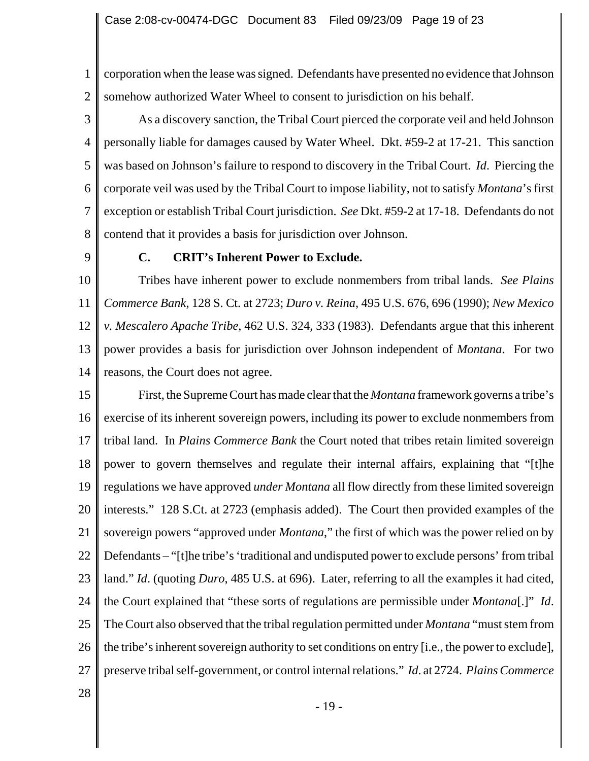1 2 corporation when the lease was signed. Defendants have presented no evidence that Johnson somehow authorized Water Wheel to consent to jurisdiction on his behalf.

3 4 5 6 7 8 As a discovery sanction, the Tribal Court pierced the corporate veil and held Johnson personally liable for damages caused by Water Wheel. Dkt. #59-2 at 17-21. This sanction was based on Johnson's failure to respond to discovery in the Tribal Court. *Id*. Piercing the corporate veil was used by the Tribal Court to impose liability, not to satisfy *Montana*'s first exception or establish Tribal Court jurisdiction. *See* Dkt. #59-2 at 17-18. Defendants do not contend that it provides a basis for jurisdiction over Johnson.

9

#### **C. CRIT's Inherent Power to Exclude.**

10 11 12 13 14 Tribes have inherent power to exclude nonmembers from tribal lands. *See Plains Commerce Bank*, 128 S. Ct. at 2723; *Duro v. Reina*, 495 U.S. 676, 696 (1990); *New Mexico v. Mescalero Apache Tribe*, 462 U.S. 324, 333 (1983). Defendants argue that this inherent power provides a basis for jurisdiction over Johnson independent of *Montana*. For two reasons, the Court does not agree.

15 16 17 18 19 20 21 22 23 24 25 26 27 First, the Supreme Court has made clear that the *Montana* framework governs a tribe's exercise of its inherent sovereign powers, including its power to exclude nonmembers from tribal land. In *Plains Commerce Bank* the Court noted that tribes retain limited sovereign power to govern themselves and regulate their internal affairs, explaining that "[t]he regulations we have approved *under Montana* all flow directly from these limited sovereign interests." 128 S.Ct. at 2723 (emphasis added). The Court then provided examples of the sovereign powers "approved under *Montana*," the first of which was the power relied on by Defendants – "[t]he tribe's 'traditional and undisputed power to exclude persons' from tribal land." *Id*. (quoting *Duro*, 485 U.S. at 696). Later, referring to all the examples it had cited, the Court explained that "these sorts of regulations are permissible under *Montana*[.]" *Id*. The Court also observed that the tribal regulation permitted under *Montana* "must stem from the tribe's inherent sovereign authority to set conditions on entry [i.e., the power to exclude], preserve tribal self-government, or control internal relations." *Id*. at 2724. *Plains Commerce*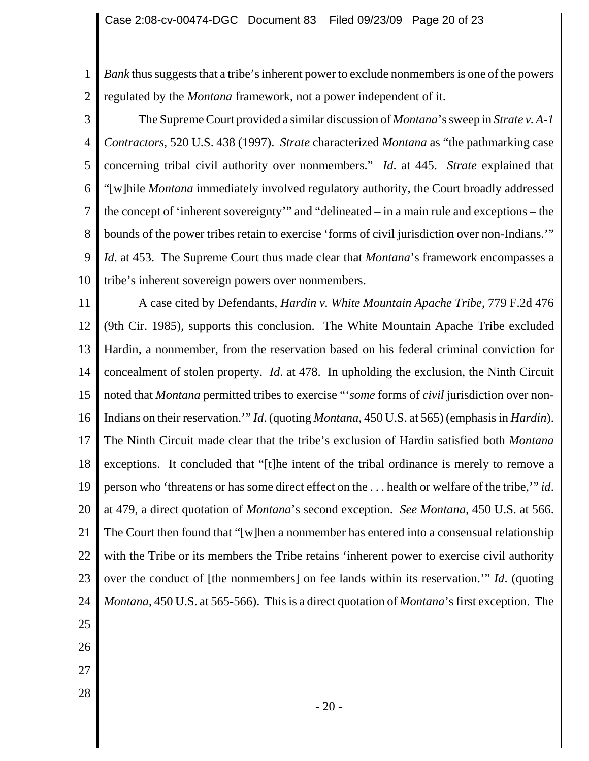1 2 *Bank* thus suggests that a tribe's inherent power to exclude nonmembers is one of the powers regulated by the *Montana* framework, not a power independent of it.

3 4 5 6 7 8 9 10 The Supreme Court provided a similar discussion of *Montana*'s sweep in *Strate v. A-1 Contractors*, 520 U.S. 438 (1997). *Strate* characterized *Montana* as "the pathmarking case concerning tribal civil authority over nonmembers." *Id*. at 445. *Strate* explained that "[w]hile *Montana* immediately involved regulatory authority, the Court broadly addressed the concept of 'inherent sovereignty'" and "delineated – in a main rule and exceptions – the bounds of the power tribes retain to exercise 'forms of civil jurisdiction over non-Indians.'" *Id*. at 453. The Supreme Court thus made clear that *Montana*'s framework encompasses a tribe's inherent sovereign powers over nonmembers.

11 12 13 14 15 16 17 18 19 20 21 22 23 24 A case cited by Defendants, *Hardin v. White Mountain Apache Tribe*, 779 F.2d 476 (9th Cir. 1985), supports this conclusion. The White Mountain Apache Tribe excluded Hardin, a nonmember, from the reservation based on his federal criminal conviction for concealment of stolen property. *Id*. at 478. In upholding the exclusion, the Ninth Circuit noted that *Montana* permitted tribes to exercise "'*some* forms of *civil* jurisdiction over non-Indians on their reservation.'" *Id*. (quoting *Montana*, 450 U.S. at 565) (emphasis in *Hardin*). The Ninth Circuit made clear that the tribe's exclusion of Hardin satisfied both *Montana* exceptions. It concluded that "[t]he intent of the tribal ordinance is merely to remove a person who 'threatens or has some direct effect on the . . . health or welfare of the tribe,'" *id*. at 479, a direct quotation of *Montana*'s second exception. *See Montana*, 450 U.S. at 566. The Court then found that "[w]hen a nonmember has entered into a consensual relationship with the Tribe or its members the Tribe retains 'inherent power to exercise civil authority over the conduct of [the nonmembers] on fee lands within its reservation.'" *Id*. (quoting *Montana*, 450 U.S. at 565-566). This is a direct quotation of *Montana*'s first exception. The

- 25
- 26
- 27
- 28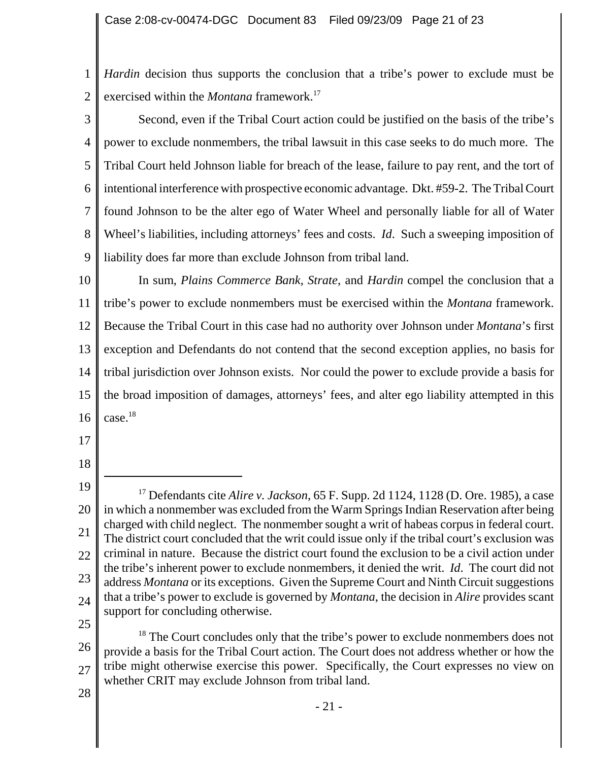1 2 *Hardin* decision thus supports the conclusion that a tribe's power to exclude must be exercised within the *Montana* framework.<sup>17</sup>

3 4 5 6 7 8 9 Second, even if the Tribal Court action could be justified on the basis of the tribe's power to exclude nonmembers, the tribal lawsuit in this case seeks to do much more. The Tribal Court held Johnson liable for breach of the lease, failure to pay rent, and the tort of intentional interference with prospective economic advantage. Dkt. #59-2. The Tribal Court found Johnson to be the alter ego of Water Wheel and personally liable for all of Water Wheel's liabilities, including attorneys' fees and costs. *Id*. Such a sweeping imposition of liability does far more than exclude Johnson from tribal land.

10 11 12 13 14 15 16 In sum, *Plains Commerce Bank*, *Strate*, and *Hardin* compel the conclusion that a tribe's power to exclude nonmembers must be exercised within the *Montana* framework. Because the Tribal Court in this case had no authority over Johnson under *Montana*'s first exception and Defendants do not contend that the second exception applies, no basis for tribal jurisdiction over Johnson exists. Nor could the power to exclude provide a basis for the broad imposition of damages, attorneys' fees, and alter ego liability attempted in this case.18

- 17
- 18

25

26 27 <sup>18</sup> The Court concludes only that the tribe's power to exclude nonmembers does not provide a basis for the Tribal Court action. The Court does not address whether or how the tribe might otherwise exercise this power. Specifically, the Court expresses no view on whether CRIT may exclude Johnson from tribal land.

<sup>19</sup> 20 21 22 23 24 17 Defendants cite *Alire v. Jackson*, 65 F. Supp. 2d 1124, 1128 (D. Ore. 1985), a case in which a nonmember was excluded from the Warm Springs Indian Reservation after being charged with child neglect. The nonmember sought a writ of habeas corpus in federal court. The district court concluded that the writ could issue only if the tribal court's exclusion was criminal in nature. Because the district court found the exclusion to be a civil action under the tribe's inherent power to exclude nonmembers, it denied the writ. *Id*. The court did not address *Montana* or its exceptions. Given the Supreme Court and Ninth Circuit suggestions that a tribe's power to exclude is governed by *Montana*, the decision in *Alire* provides scant support for concluding otherwise.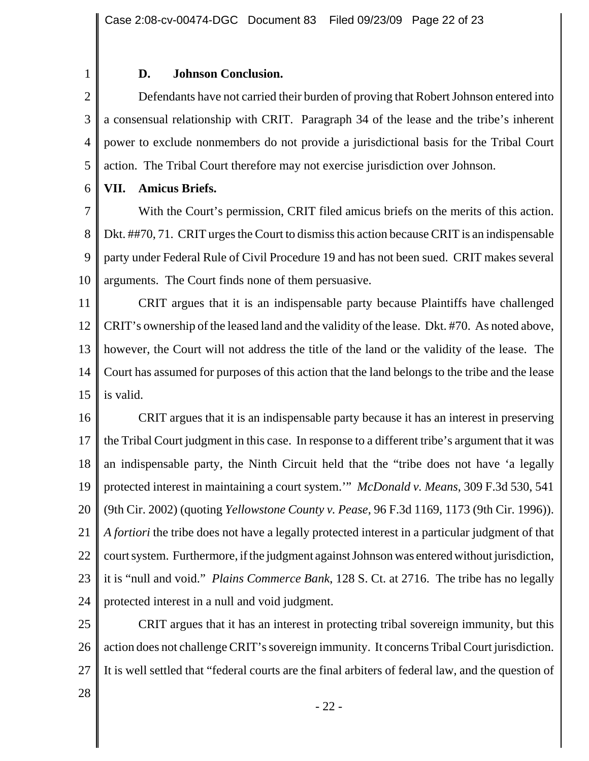#### **D. Johnson Conclusion.**

2 3 4 5 Defendants have not carried their burden of proving that Robert Johnson entered into a consensual relationship with CRIT. Paragraph 34 of the lease and the tribe's inherent power to exclude nonmembers do not provide a jurisdictional basis for the Tribal Court action. The Tribal Court therefore may not exercise jurisdiction over Johnson.

6 **VII. Amicus Briefs.**

1

7 8 9 10 With the Court's permission, CRIT filed amicus briefs on the merits of this action. Dkt. ##70, 71. CRIT urges the Court to dismiss this action because CRIT is an indispensable party under Federal Rule of Civil Procedure 19 and has not been sued. CRIT makes several arguments. The Court finds none of them persuasive.

11 12 13 14 15 CRIT argues that it is an indispensable party because Plaintiffs have challenged CRIT's ownership of the leased land and the validity of the lease. Dkt. #70. As noted above, however, the Court will not address the title of the land or the validity of the lease. The Court has assumed for purposes of this action that the land belongs to the tribe and the lease is valid.

16 17 18 19 20 21 22 23 24 CRIT argues that it is an indispensable party because it has an interest in preserving the Tribal Court judgment in this case. In response to a different tribe's argument that it was an indispensable party, the Ninth Circuit held that the "tribe does not have 'a legally protected interest in maintaining a court system.'" *McDonald v. Means*, 309 F.3d 530, 541 (9th Cir. 2002) (quoting *Yellowstone County v. Pease*, 96 F.3d 1169, 1173 (9th Cir. 1996)). *A fortiori* the tribe does not have a legally protected interest in a particular judgment of that court system. Furthermore, if the judgment against Johnson was entered without jurisdiction, it is "null and void." *Plains Commerce Bank*, 128 S. Ct. at 2716. The tribe has no legally protected interest in a null and void judgment.

25 26 27 CRIT argues that it has an interest in protecting tribal sovereign immunity, but this action does not challenge CRIT's sovereign immunity. It concerns Tribal Court jurisdiction. It is well settled that "federal courts are the final arbiters of federal law, and the question of